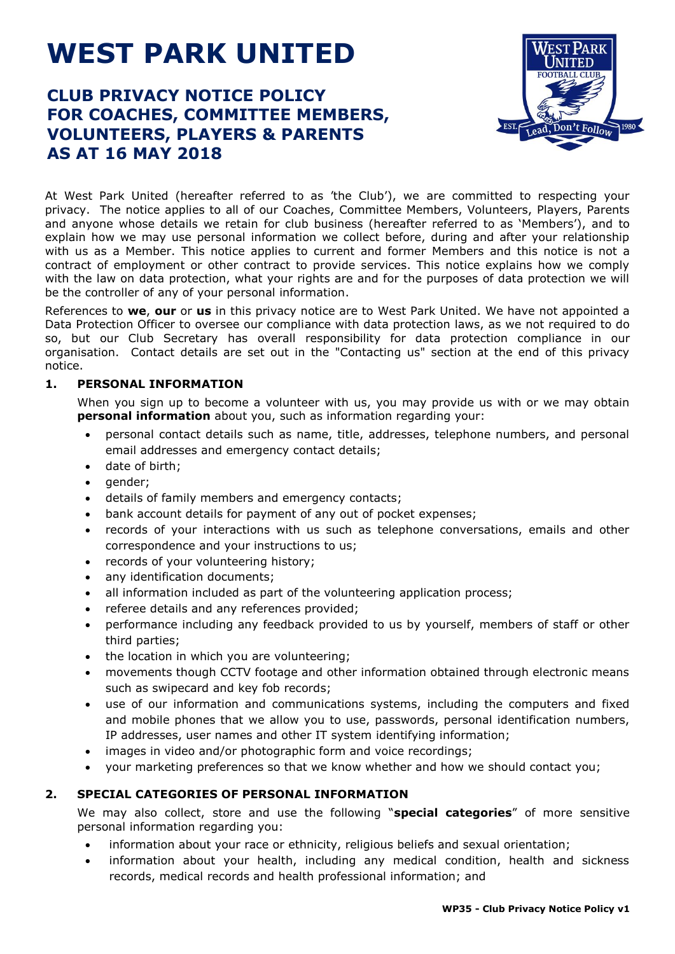# **WEST PARK UNITED**

# **CLUB PRIVACY NOTICE POLICY FOR COACHES, COMMITTEE MEMBERS, VOLUNTEERS, PLAYERS & PARENTS AS AT 16 MAY 2018**



At West Park United (hereafter referred to as 'the Club'), we are committed to respecting your privacy. The notice applies to all of our Coaches, Committee Members, Volunteers, Players, Parents and anyone whose details we retain for club business (hereafter referred to as 'Members'), and to explain how we may use personal information we collect before, during and after your relationship with us as a Member. This notice applies to current and former Members and this notice is not a contract of employment or other contract to provide services. This notice explains how we comply with the law on data protection, what your rights are and for the purposes of data protection we will be the controller of any of your personal information.

References to **we**, **our** or **us** in this privacy notice are to West Park United. We have not appointed a Data Protection Officer to oversee our compliance with data protection laws, as we not required to do so, but our Club Secretary has overall responsibility for data protection compliance in our organisation. Contact details are set out in the "Contacting us" section at the end of this privacy notice.

### **1. PERSONAL INFORMATION**

When you sign up to become a volunteer with us, you may provide us with or we may obtain **personal information** about you, such as information regarding your:

- personal contact details such as name, title, addresses, telephone numbers, and personal email addresses and emergency contact details;
- date of birth;
- gender;
- details of family members and emergency contacts;
- bank account details for payment of any out of pocket expenses;
- records of your interactions with us such as telephone conversations, emails and other correspondence and your instructions to us;
- records of your volunteering history;
- any identification documents;
- all information included as part of the volunteering application process;
- referee details and any references provided;
- performance including any feedback provided to us by yourself, members of staff or other third parties;
- the location in which you are volunteering;
- movements though CCTV footage and other information obtained through electronic means such as swipecard and key fob records;
- use of our information and communications systems, including the computers and fixed and mobile phones that we allow you to use, passwords, personal identification numbers, IP addresses, user names and other IT system identifying information;
- images in video and/or photographic form and voice recordings;
- your marketing preferences so that we know whether and how we should contact you;

### **2. SPECIAL CATEGORIES OF PERSONAL INFORMATION**

We may also collect, store and use the following "**special categories**" of more sensitive personal information regarding you:

- information about your race or ethnicity, religious beliefs and sexual orientation;
- information about your health, including any medical condition, health and sickness records, medical records and health professional information; and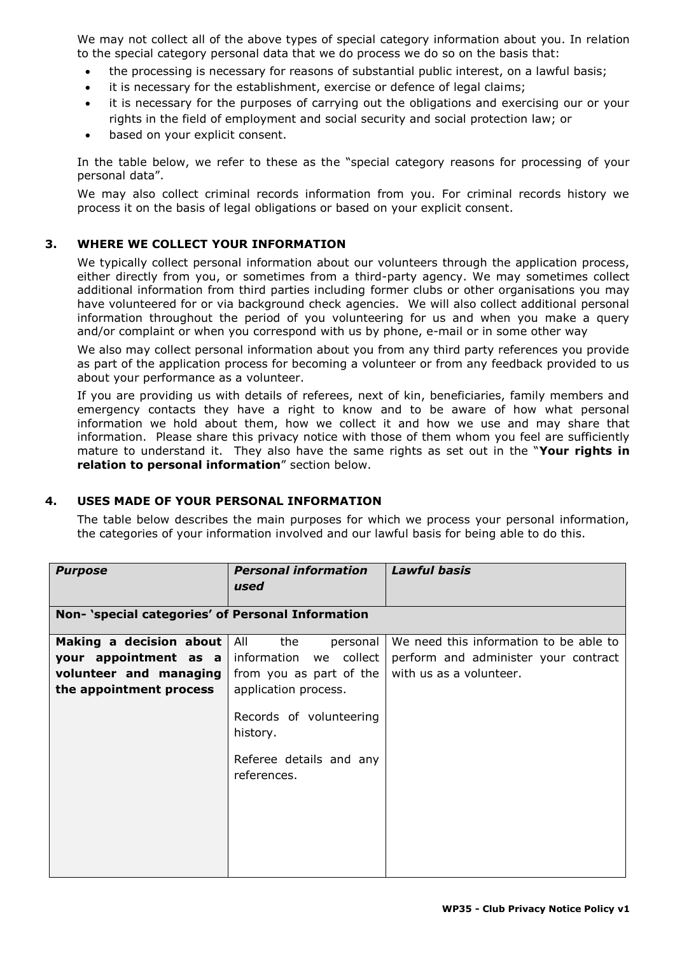We may not collect all of the above types of special category information about you. In relation to the special category personal data that we do process we do so on the basis that:

- the processing is necessary for reasons of substantial public interest, on a lawful basis;
- it is necessary for the establishment, exercise or defence of legal claims;
- it is necessary for the purposes of carrying out the obligations and exercising our or your rights in the field of employment and social security and social protection law; or
- based on your explicit consent.

In the table below, we refer to these as the "special category reasons for processing of your personal data".

We may also collect criminal records information from you. For criminal records history we process it on the basis of legal obligations or based on your explicit consent.

#### **3. WHERE WE COLLECT YOUR INFORMATION**

We typically collect personal information about our volunteers through the application process, either directly from you, or sometimes from a third-party agency. We may sometimes collect additional information from third parties including former clubs or other organisations you may have volunteered for or via background check agencies. We will also collect additional personal information throughout the period of you volunteering for us and when you make a query and/or complaint or when you correspond with us by phone, e-mail or in some other way

We also may collect personal information about you from any third party references you provide as part of the application process for becoming a volunteer or from any feedback provided to us about your performance as a volunteer.

If you are providing us with details of referees, next of kin, beneficiaries, family members and emergency contacts they have a right to know and to be aware of how what personal information we hold about them, how we collect it and how we use and may share that information. Please share this privacy notice with those of them whom you feel are sufficiently mature to understand it. They also have the same rights as set out in the "**Your rights in relation to personal information**" section below.

#### **4. USES MADE OF YOUR PERSONAL INFORMATION**

The table below describes the main purposes for which we process your personal information, the categories of your information involved and our lawful basis for being able to do this.

| <b>Purpose</b>                                                             | <b>Personal information</b><br>used                                                                                                                                                        | <b>Lawful basis</b>                    |  |  |
|----------------------------------------------------------------------------|--------------------------------------------------------------------------------------------------------------------------------------------------------------------------------------------|----------------------------------------|--|--|
| Non- 'special categories' of Personal Information                          |                                                                                                                                                                                            |                                        |  |  |
| Making a decision about                                                    | All<br>the<br>personal                                                                                                                                                                     | We need this information to be able to |  |  |
| your appointment as a<br>volunteer and managing<br>the appointment process | information we collect<br>from you as part of the $\vert$ with us as a volunteer.<br>application process.<br>Records of volunteering<br>history.<br>Referee details and any<br>references. | perform and administer your contract   |  |  |
|                                                                            |                                                                                                                                                                                            |                                        |  |  |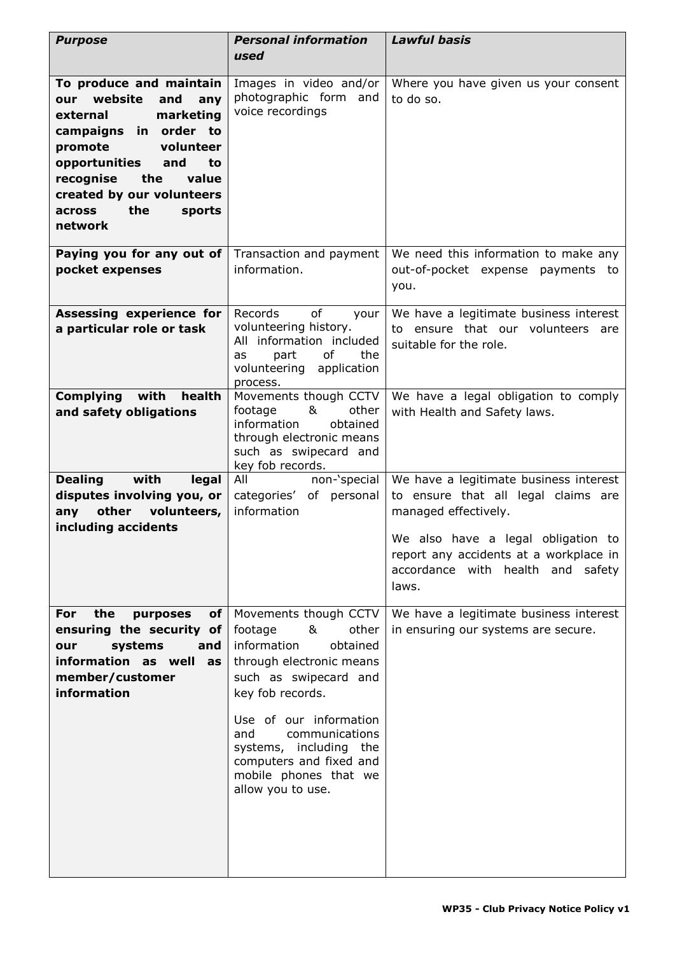| <b>Purpose</b>                                                                                                                                                                                                                                                  | <b>Personal information</b><br>used                                                                                                                                                                                                                                                                      | <b>Lawful basis</b>                                                                                                                                                                                                                    |
|-----------------------------------------------------------------------------------------------------------------------------------------------------------------------------------------------------------------------------------------------------------------|----------------------------------------------------------------------------------------------------------------------------------------------------------------------------------------------------------------------------------------------------------------------------------------------------------|----------------------------------------------------------------------------------------------------------------------------------------------------------------------------------------------------------------------------------------|
|                                                                                                                                                                                                                                                                 |                                                                                                                                                                                                                                                                                                          |                                                                                                                                                                                                                                        |
| To produce and maintain<br>website<br>and<br>our<br>any<br>marketing<br>external<br>campaigns in order to<br>promote<br>volunteer<br>opportunities<br>and<br>to<br>recognise<br>the<br>value<br>created by our volunteers<br>the<br>across<br>sports<br>network | Images in video and/or<br>photographic form<br>and<br>voice recordings                                                                                                                                                                                                                                   | Where you have given us your consent<br>to do so.                                                                                                                                                                                      |
| Paying you for any out of<br>pocket expenses                                                                                                                                                                                                                    | Transaction and payment<br>information.                                                                                                                                                                                                                                                                  | We need this information to make any<br>out-of-pocket expense payments to<br>you.                                                                                                                                                      |
| Assessing experience for<br>a particular role or task                                                                                                                                                                                                           | Records<br>of<br>your<br>volunteering history.<br>All information included<br>of<br>part<br>the<br>as<br>volunteering application<br>process.                                                                                                                                                            | We have a legitimate business interest<br>to ensure that our volunteers are<br>suitable for the role.                                                                                                                                  |
| Complying with<br>health<br>and safety obligations                                                                                                                                                                                                              | Movements though CCTV<br>&<br>footage<br>other<br>information<br>obtained<br>through electronic means<br>such as swipecard and<br>key fob records.                                                                                                                                                       | We have a legal obligation to comply<br>with Health and Safety laws.                                                                                                                                                                   |
| with<br><b>Dealing</b><br>legal<br>disputes involving you, or<br>other volunteers,<br>any<br>including accidents                                                                                                                                                | All<br>non-'special<br>of personal<br>categories'<br>information                                                                                                                                                                                                                                         | We have a legitimate business interest<br>to ensure that all legal claims are<br>managed effectively.<br>We also have a legal obligation to<br>report any accidents at a workplace in<br>accordance with health and<br>safety<br>laws. |
| the<br>For<br>purposes<br>of<br>ensuring the security of<br>systems<br>and<br>our<br>information as well<br>as<br>member/customer<br>information                                                                                                                | Movements though CCTV<br>footage<br>other<br>&<br>information<br>obtained<br>through electronic means<br>such as swipecard and<br>key fob records.<br>Use of our information<br>communications<br>and<br>systems, including the<br>computers and fixed and<br>mobile phones that we<br>allow you to use. | We have a legitimate business interest<br>in ensuring our systems are secure.                                                                                                                                                          |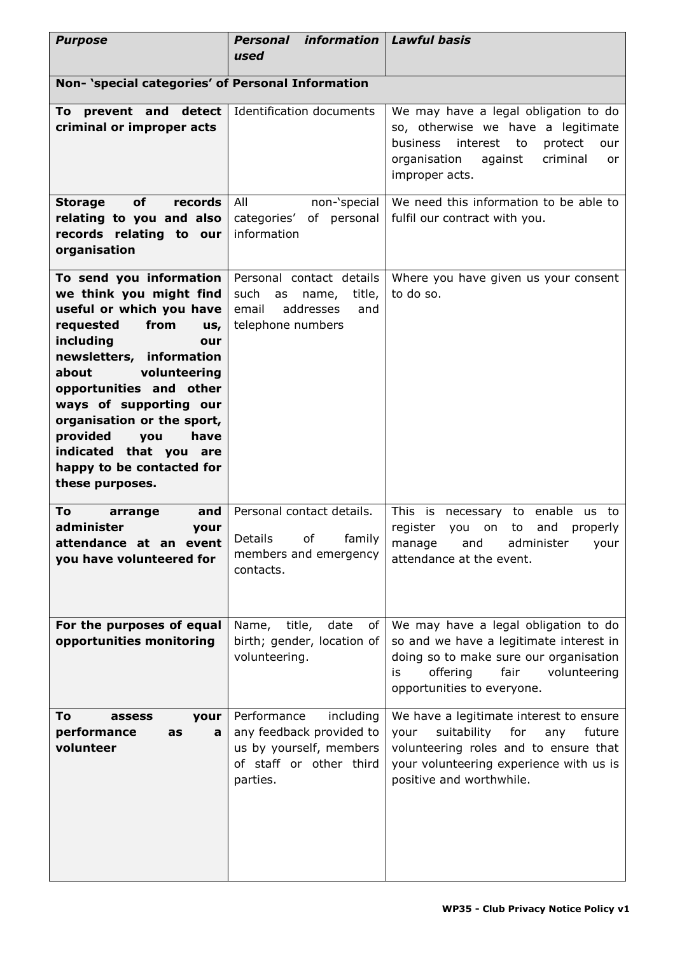| <b>Purpose</b>                                                                                                                                                                                                                                                                                                                                                              | Personal information<br>used                                                                                           | <b>Lawful basis</b>                                                                                                                                                                                    |  |
|-----------------------------------------------------------------------------------------------------------------------------------------------------------------------------------------------------------------------------------------------------------------------------------------------------------------------------------------------------------------------------|------------------------------------------------------------------------------------------------------------------------|--------------------------------------------------------------------------------------------------------------------------------------------------------------------------------------------------------|--|
| Non- 'special categories' of Personal Information                                                                                                                                                                                                                                                                                                                           |                                                                                                                        |                                                                                                                                                                                                        |  |
| prevent and detect<br>To<br>criminal or improper acts                                                                                                                                                                                                                                                                                                                       | Identification documents                                                                                               | We may have a legal obligation to do<br>so, otherwise we have a legitimate<br>interest<br>business<br>to<br>protect<br>our<br>organisation<br>criminal<br>against<br>or<br>improper acts.              |  |
| of<br><b>Storage</b><br>records<br>relating to you and also<br>records relating to our<br>organisation                                                                                                                                                                                                                                                                      | All<br>non-'special<br>categories' of personal<br>information                                                          | We need this information to be able to<br>fulfil our contract with you.                                                                                                                                |  |
| To send you information<br>we think you might find<br>useful or which you have<br>requested<br>from<br>us,<br>including<br>our<br>newsletters, information<br>volunteering<br>about<br>opportunities and other<br>ways of supporting our<br>organisation or the sport,<br>provided<br>you<br>have<br>indicated that you are<br>happy to be contacted for<br>these purposes. | Personal contact details<br>such<br>name, title,<br>as<br>addresses<br>email<br>and<br>telephone numbers               | Where you have given us your consent<br>to do so.                                                                                                                                                      |  |
| To<br>arrange<br>and<br>administer<br>your<br>attendance at an event<br>you have volunteered for                                                                                                                                                                                                                                                                            | Personal contact details.<br>Details of family<br>members and emergency<br>contacts.                                   | This is<br>necessary to enable us to<br>register<br>to<br>and<br>you<br>on<br>properly<br>manage<br>and<br>administer<br>your<br>attendance at the event.                                              |  |
| For the purposes of equal<br>opportunities monitoring                                                                                                                                                                                                                                                                                                                       | Name, title,<br>date<br>of<br>birth; gender, location of<br>volunteering.                                              | We may have a legal obligation to do<br>so and we have a legitimate interest in<br>doing so to make sure our organisation<br>fair<br>offering<br>volunteering<br>is<br>opportunities to everyone.      |  |
| To<br>your<br>assess<br>performance<br>as<br>a<br>volunteer                                                                                                                                                                                                                                                                                                                 | Performance<br>including<br>any feedback provided to<br>us by yourself, members<br>of staff or other third<br>parties. | We have a legitimate interest to ensure<br>suitability<br>your<br>for<br>future<br>any<br>volunteering roles and to ensure that<br>your volunteering experience with us is<br>positive and worthwhile. |  |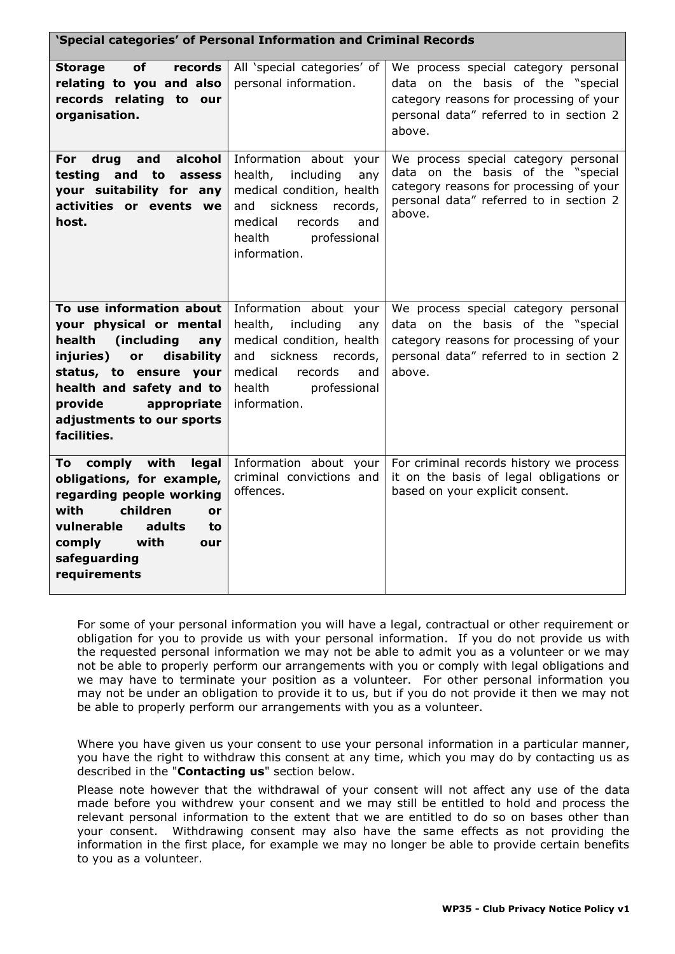| 'Special categories' of Personal Information and Criminal Records                                                                                                                                                                               |                                                                                                                                                                                          |                                                                                                                                                                           |  |  |
|-------------------------------------------------------------------------------------------------------------------------------------------------------------------------------------------------------------------------------------------------|------------------------------------------------------------------------------------------------------------------------------------------------------------------------------------------|---------------------------------------------------------------------------------------------------------------------------------------------------------------------------|--|--|
| of<br>records<br><b>Storage</b><br>relating to you and also<br>records relating to our<br>organisation.                                                                                                                                         | All 'special categories' of<br>personal information.                                                                                                                                     | We process special category personal<br>data on the basis of the "special<br>category reasons for processing of your<br>personal data" referred to in section 2<br>above. |  |  |
| alcohol<br>For<br>drug<br>and<br>testing<br>and to<br>assess<br>your suitability for any<br>activities or events we<br>host.                                                                                                                    | Information about your<br>including<br>health,<br>any<br>medical condition, health<br>sickness records,<br>and<br>medical<br>records<br>and<br>health<br>professional<br>information.    | We process special category personal<br>data on the basis of the "special<br>category reasons for processing of your<br>personal data" referred to in section 2<br>above. |  |  |
| To use information about<br>your physical or mental<br>health<br>(including<br>any<br>injuries)<br>or<br>disability<br>status, to ensure your<br>health and safety and to<br>provide<br>appropriate<br>adjustments to our sports<br>facilities. | Information about your<br>including<br>health,<br>any<br>medical condition, health<br>sickness<br>and<br>records,<br>medical<br>records<br>and<br>health<br>professional<br>information. | We process special category personal<br>data on the basis of the "special<br>category reasons for processing of your<br>personal data" referred to in section 2<br>above. |  |  |
| comply with<br>legal<br>To<br>obligations, for example,<br>regarding people working<br>with<br>children<br>or<br>vulnerable<br>adults<br>to<br>comply<br>with<br>our<br>safeguarding<br>requirements                                            | Information about your<br>criminal convictions and<br>offences.                                                                                                                          | For criminal records history we process<br>it on the basis of legal obligations or<br>based on your explicit consent.                                                     |  |  |

For some of your personal information you will have a legal, contractual or other requirement or obligation for you to provide us with your personal information. If you do not provide us with the requested personal information we may not be able to admit you as a volunteer or we may not be able to properly perform our arrangements with you or comply with legal obligations and we may have to terminate your position as a volunteer. For other personal information you may not be under an obligation to provide it to us, but if you do not provide it then we may not be able to properly perform our arrangements with you as a volunteer.

Where you have given us your consent to use your personal information in a particular manner, you have the right to withdraw this consent at any time, which you may do by contacting us as described in the "**Contacting us**" section below.

Please note however that the withdrawal of your consent will not affect any use of the data made before you withdrew your consent and we may still be entitled to hold and process the relevant personal information to the extent that we are entitled to do so on bases other than your consent. Withdrawing consent may also have the same effects as not providing the information in the first place, for example we may no longer be able to provide certain benefits to you as a volunteer.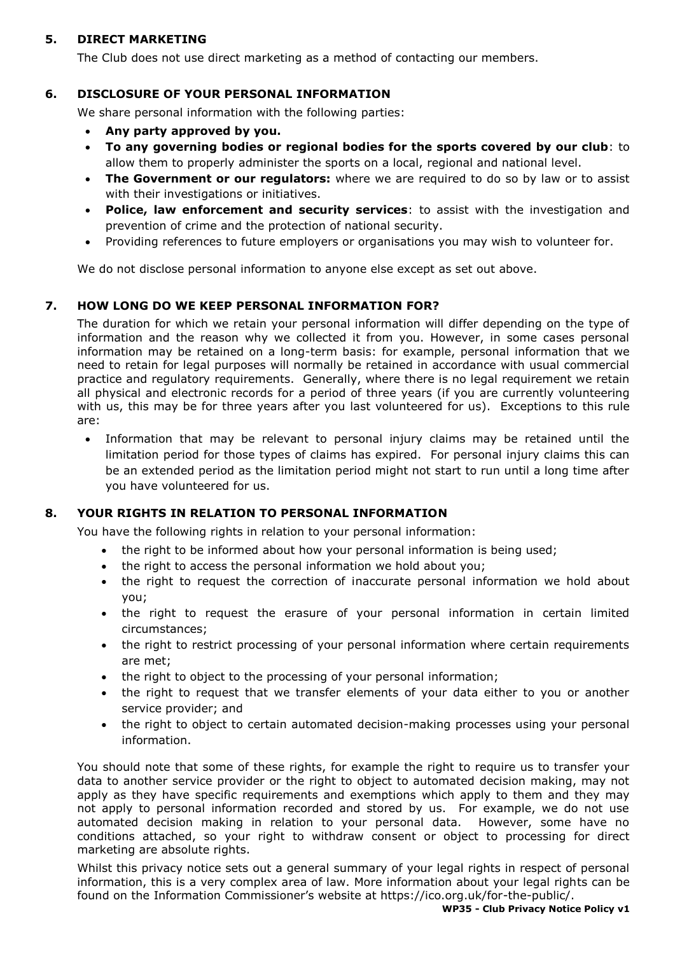## **5. DIRECT MARKETING**

The Club does not use direct marketing as a method of contacting our members.

# **6. DISCLOSURE OF YOUR PERSONAL INFORMATION**

We share personal information with the following parties:

- **Any party approved by you.**
- **To any governing bodies or regional bodies for the sports covered by our club**: to allow them to properly administer the sports on a local, regional and national level.
- **The Government or our regulators:** where we are required to do so by law or to assist with their investigations or initiatives.
- **Police, law enforcement and security services**: to assist with the investigation and prevention of crime and the protection of national security.
- Providing references to future employers or organisations you may wish to volunteer for.

We do not disclose personal information to anyone else except as set out above.

### **7. HOW LONG DO WE KEEP PERSONAL INFORMATION FOR?**

The duration for which we retain your personal information will differ depending on the type of information and the reason why we collected it from you. However, in some cases personal information may be retained on a long-term basis: for example, personal information that we need to retain for legal purposes will normally be retained in accordance with usual commercial practice and regulatory requirements. Generally, where there is no legal requirement we retain all physical and electronic records for a period of three years (if you are currently volunteering with us, this may be for three years after you last volunteered for us). Exceptions to this rule are:

 Information that may be relevant to personal injury claims may be retained until the limitation period for those types of claims has expired. For personal injury claims this can be an extended period as the limitation period might not start to run until a long time after you have volunteered for us.

### **8. YOUR RIGHTS IN RELATION TO PERSONAL INFORMATION**

You have the following rights in relation to your personal information:

- the right to be informed about how your personal information is being used;
- the right to access the personal information we hold about you;
- the right to request the correction of inaccurate personal information we hold about you;
- the right to request the erasure of your personal information in certain limited circumstances;
- the right to restrict processing of your personal information where certain requirements are met;
- the right to object to the processing of your personal information;
- the right to request that we transfer elements of your data either to you or another service provider; and
- the right to object to certain automated decision-making processes using your personal information.

You should note that some of these rights, for example the right to require us to transfer your data to another service provider or the right to object to automated decision making, may not apply as they have specific requirements and exemptions which apply to them and they may not apply to personal information recorded and stored by us. For example, we do not use automated decision making in relation to your personal data. However, some have no conditions attached, so your right to withdraw consent or object to processing for direct marketing are absolute rights.

Whilst this privacy notice sets out a general summary of your legal rights in respect of personal information, this is a very complex area of law. More information about your legal rights can be found on the Information Commissioner's website at https://ico.org.uk/for-the-public/.